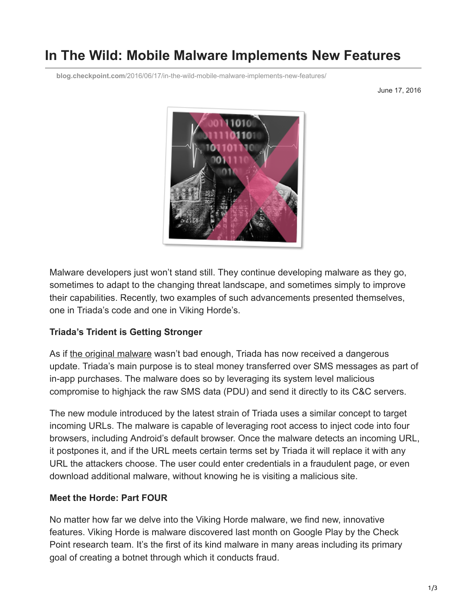# **In The Wild: Mobile Malware Implements New Features**

**blog.checkpoint.com**[/2016/06/17/in-the-wild-mobile-malware-implements-new-features/](https://blog.checkpoint.com/2016/06/17/in-the-wild-mobile-malware-implements-new-features/)

June 17, 2016



Malware developers just won't stand still. They continue developing malware as they go, sometimes to adapt to the changing threat landscape, and sometimes simply to improve their capabilities. Recently, two examples of such advancements presented themselves, one in Triada's code and one in Viking Horde's.

#### **Triada's Trident is Getting Stronger**

As if [the original malware](http://blog.checkpoint.com/2016/03/11/in-the-wild-mobile-security-observations-from-the-check-point-research-team-6/) wasn't bad enough, Triada has now received a dangerous update. Triada's main purpose is to steal money transferred over SMS messages as part of in-app purchases. The malware does so by leveraging its system level malicious compromise to highjack the raw SMS data (PDU) and send it directly to its C&C servers.

The new module introduced by the latest strain of Triada uses a similar concept to target incoming URLs. The malware is capable of leveraging root access to inject code into four browsers, including Android's default browser. Once the malware detects an incoming URL, it postpones it, and if the URL meets certain terms set by Triada it will replace it with any URL the attackers choose. The user could enter credentials in a fraudulent page, or even download additional malware, without knowing he is visiting a malicious site.

## **Meet the Horde: Part FOUR**

No matter how far we delve into the Viking Horde malware, we find new, innovative features. Viking Horde is malware discovered last month on Google Play by the Check Point research team. It's the first of its kind malware in many areas including its primary goal of creating a botnet through which it conducts fraud.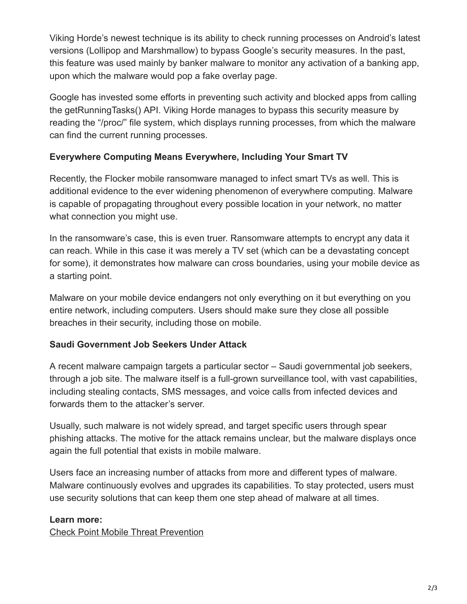Viking Horde's newest technique is its ability to check running processes on Android's latest versions (Lollipop and Marshmallow) to bypass Google's security measures. In the past, this feature was used mainly by banker malware to monitor any activation of a banking app, upon which the malware would pop a fake overlay page.

Google has invested some efforts in preventing such activity and blocked apps from calling the getRunningTasks() API. Viking Horde manages to bypass this security measure by reading the "/proc/" file system, which displays running processes, from which the malware can find the current running processes.

## **Everywhere Computing Means Everywhere, Including Your Smart TV**

Recently, the Flocker mobile ransomware managed to infect smart TVs as well. This is additional evidence to the ever widening phenomenon of everywhere computing. Malware is capable of propagating throughout every possible location in your network, no matter what connection you might use.

In the ransomware's case, this is even truer. Ransomware attempts to encrypt any data it can reach. While in this case it was merely a TV set (which can be a devastating concept for some), it demonstrates how malware can cross boundaries, using your mobile device as a starting point.

Malware on your mobile device endangers not only everything on it but everything on you entire network, including computers. Users should make sure they close all possible breaches in their security, including those on mobile.

## **Saudi Government Job Seekers Under Attack**

A recent malware campaign targets a particular sector – Saudi governmental job seekers, through a job site. The malware itself is a full-grown surveillance tool, with vast capabilities, including stealing contacts, SMS messages, and voice calls from infected devices and forwards them to the attacker's server.

Usually, such malware is not widely spread, and target specific users through spear phishing attacks. The motive for the attack remains unclear, but the malware displays once again the full potential that exists in mobile malware.

Users face an increasing number of attacks from more and different types of malware. Malware continuously evolves and upgrades its capabilities. To stay protected, users must use security solutions that can keep them one step ahead of malware at all times.

#### **Learn more:**

[Check Point Mobile Threat Prevention](http://www.checkpoint.com/mobilesecurity)